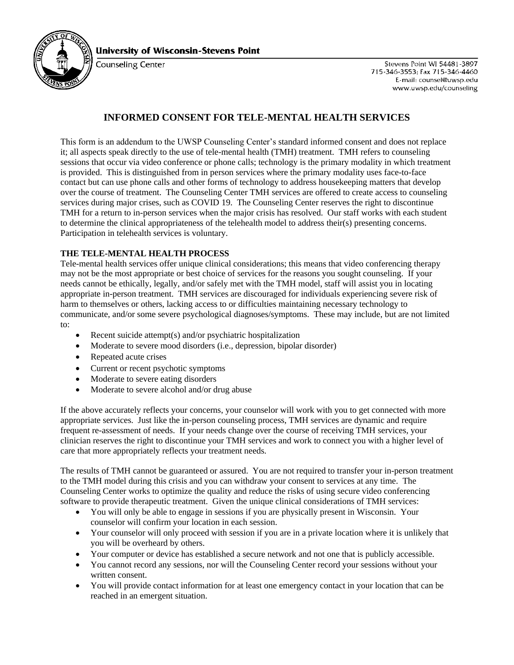

**University of Wisconsin-Stevens Point** 

**Counseling Center** 

Stevens Point WI 54481-3897 715-346-3553; Fax 715-346-4460 E-mail: counsel@uwsp.edu www.uwsp.edu/counseling

# **INFORMED CONSENT FOR TELE-MENTAL HEALTH SERVICES**

This form is an addendum to the UWSP Counseling Center's standard informed consent and does not replace it; all aspects speak directly to the use of tele-mental health (TMH) treatment. TMH refers to counseling sessions that occur via video conference or phone calls; technology is the primary modality in which treatment is provided. This is distinguished from in person services where the primary modality uses face-to-face contact but can use phone calls and other forms of technology to address housekeeping matters that develop over the course of treatment. The Counseling Center TMH services are offered to create access to counseling services during major crises, such as COVID 19. The Counseling Center reserves the right to discontinue TMH for a return to in-person services when the major crisis has resolved. Our staff works with each student to determine the clinical appropriateness of the telehealth model to address their(s) presenting concerns. Participation in telehealth services is voluntary.

### **THE TELE-MENTAL HEALTH PROCESS**

Tele-mental health services offer unique clinical considerations; this means that video conferencing therapy may not be the most appropriate or best choice of services for the reasons you sought counseling. If your needs cannot be ethically, legally, and/or safely met with the TMH model, staff will assist you in locating appropriate in-person treatment. TMH services are discouraged for individuals experiencing severe risk of harm to themselves or others, lacking access to or difficulties maintaining necessary technology to communicate, and/or some severe psychological diagnoses/symptoms. These may include, but are not limited to:

- Recent suicide attempt(s) and/or psychiatric hospitalization
- Moderate to severe mood disorders (i.e., depression, bipolar disorder)
- Repeated acute crises
- Current or recent psychotic symptoms
- Moderate to severe eating disorders
- Moderate to severe alcohol and/or drug abuse

If the above accurately reflects your concerns, your counselor will work with you to get connected with more appropriate services. Just like the in-person counseling process, TMH services are dynamic and require frequent re-assessment of needs. If your needs change over the course of receiving TMH services, your clinician reserves the right to discontinue your TMH services and work to connect you with a higher level of care that more appropriately reflects your treatment needs.

The results of TMH cannot be guaranteed or assured. You are not required to transfer your in-person treatment to the TMH model during this crisis and you can withdraw your consent to services at any time. The Counseling Center works to optimize the quality and reduce the risks of using secure video conferencing software to provide therapeutic treatment. Given the unique clinical considerations of TMH services:

- You will only be able to engage in sessions if you are physically present in Wisconsin. Your counselor will confirm your location in each session.
- Your counselor will only proceed with session if you are in a private location where it is unlikely that you will be overheard by others.
- Your computer or device has established a secure network and not one that is publicly accessible.
- You cannot record any sessions, nor will the Counseling Center record your sessions without your written consent.
- You will provide contact information for at least one emergency contact in your location that can be reached in an emergent situation.